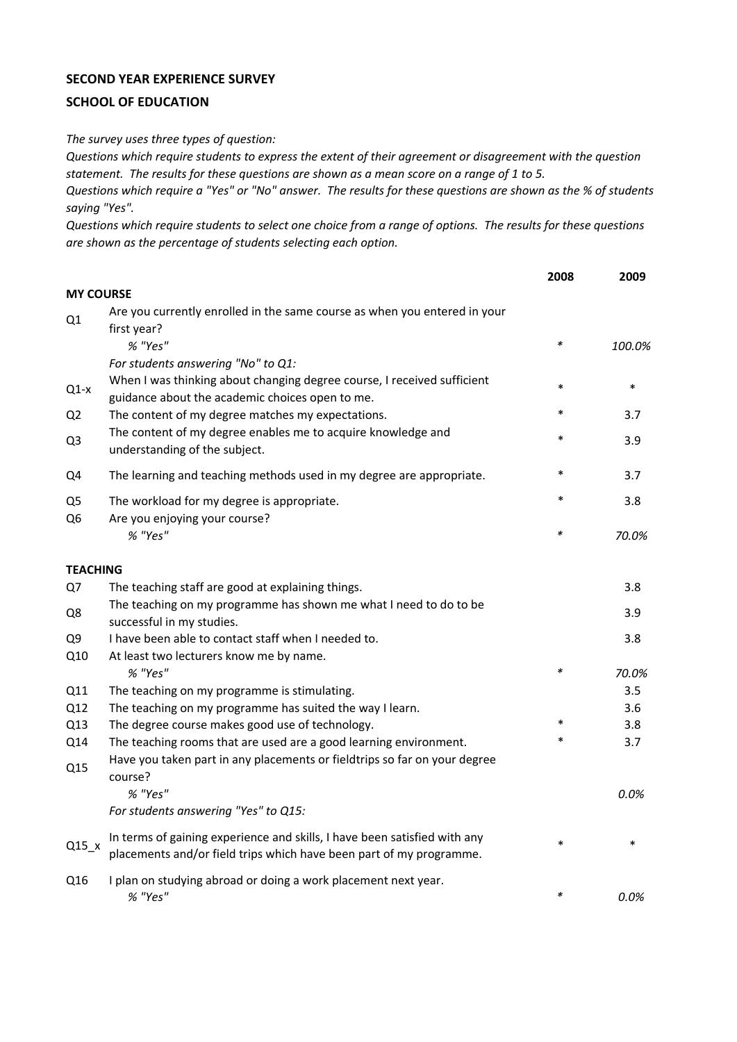## **SECOND YEAR EXPERIENCE SURVEY**

## **SCHOOL OF EDUCATION**

*The survey uses three types of question:*

*Questions which require students to express the extent of their agreement or disagreement with the question statement. The results for these questions are shown as a mean score on a range of 1 to 5.*

*Questions which require a "Yes" or "No" answer. The results for these questions are shown as the % of students saying "Yes".*

*Questions which require students to select one choice from a range of options. The results for these questions are shown as the percentage of students selecting each option.*

|                                  |                                                                                                                                                  | 2008   | 2009   |
|----------------------------------|--------------------------------------------------------------------------------------------------------------------------------------------------|--------|--------|
| <b>MY COURSE</b>                 |                                                                                                                                                  |        |        |
| Q1                               | Are you currently enrolled in the same course as when you entered in your<br>first year?                                                         |        |        |
|                                  | % "Yes"<br>For students answering "No" to Q1:                                                                                                    | $\ast$ | 100.0% |
| $Q1-x$                           | When I was thinking about changing degree course, I received sufficient<br>guidance about the academic choices open to me.                       | $\ast$ | $\ast$ |
| Q <sub>2</sub>                   | The content of my degree matches my expectations.                                                                                                | $\ast$ | 3.7    |
| Q <sub>3</sub>                   | The content of my degree enables me to acquire knowledge and<br>understanding of the subject.                                                    | $\ast$ | 3.9    |
| Q4                               | The learning and teaching methods used in my degree are appropriate.                                                                             | $\ast$ | 3.7    |
| Q <sub>5</sub><br>Q <sub>6</sub> | The workload for my degree is appropriate.<br>Are you enjoying your course?                                                                      | $\ast$ | 3.8    |
|                                  | % "Yes"                                                                                                                                          | *      | 70.0%  |
| <b>TEACHING</b>                  |                                                                                                                                                  |        |        |
| Q7                               | The teaching staff are good at explaining things.                                                                                                |        | 3.8    |
| Q8                               | The teaching on my programme has shown me what I need to do to be<br>successful in my studies.                                                   |        | 3.9    |
| Q9                               | I have been able to contact staff when I needed to.                                                                                              |        | 3.8    |
| Q10                              | At least two lecturers know me by name.<br>% "Yes"                                                                                               | *      | 70.0%  |
| Q11                              | The teaching on my programme is stimulating.                                                                                                     |        | 3.5    |
| Q12                              | The teaching on my programme has suited the way I learn.                                                                                         |        | 3.6    |
| Q13                              | The degree course makes good use of technology.                                                                                                  | $\ast$ | 3.8    |
| Q14                              | The teaching rooms that are used are a good learning environment.                                                                                | $\ast$ | 3.7    |
| Q15                              | Have you taken part in any placements or fieldtrips so far on your degree<br>course?                                                             |        |        |
|                                  | % "Yes"                                                                                                                                          |        | 0.0%   |
|                                  | For students answering "Yes" to Q15:                                                                                                             |        |        |
| $Q15_x$                          | In terms of gaining experience and skills, I have been satisfied with any<br>placements and/or field trips which have been part of my programme. | $\ast$ | *      |
| Q16                              | I plan on studying abroad or doing a work placement next year.<br>% "Yes"                                                                        | *      | 0.0%   |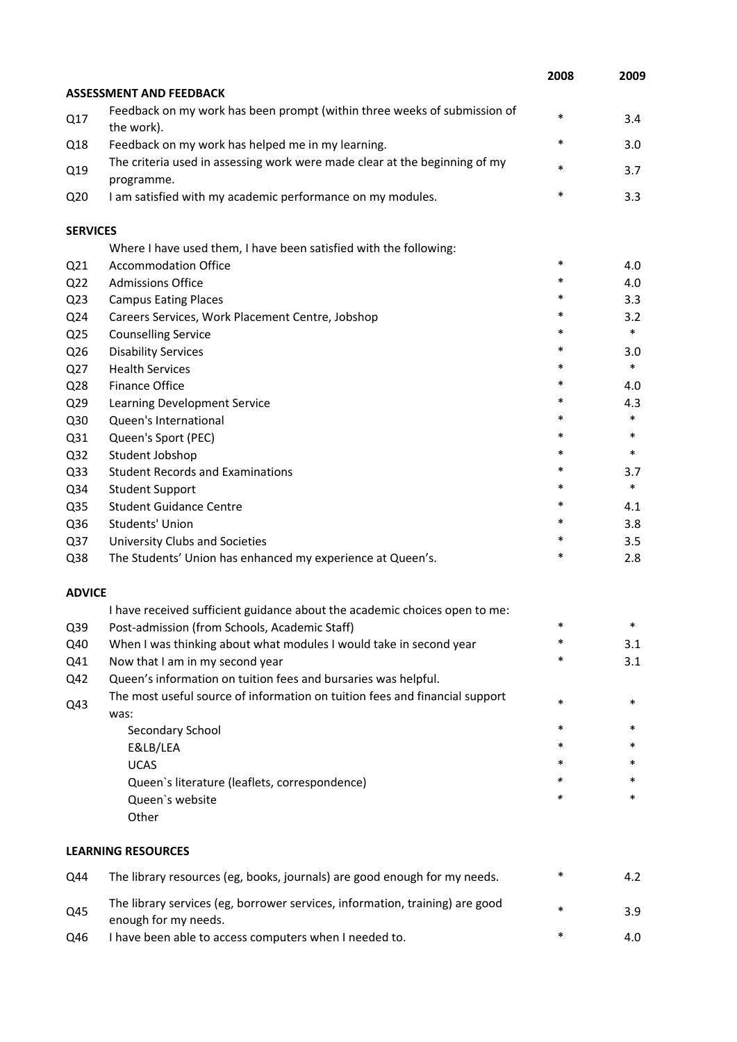|                 |                                                                                                      | 2008   | 2009   |
|-----------------|------------------------------------------------------------------------------------------------------|--------|--------|
|                 | <b>ASSESSMENT AND FEEDBACK</b>                                                                       |        |        |
| Q17             | Feedback on my work has been prompt (within three weeks of submission of<br>the work).               | $\ast$ | 3.4    |
| Q18             | Feedback on my work has helped me in my learning.                                                    | $\ast$ | 3.0    |
| Q19             | The criteria used in assessing work were made clear at the beginning of my<br>programme.             | $\ast$ | 3.7    |
| Q <sub>20</sub> | I am satisfied with my academic performance on my modules.                                           | $\ast$ | 3.3    |
| <b>SERVICES</b> |                                                                                                      |        |        |
|                 | Where I have used them, I have been satisfied with the following:                                    |        |        |
| Q <sub>21</sub> | <b>Accommodation Office</b>                                                                          | $\ast$ | 4.0    |
| Q <sub>22</sub> | <b>Admissions Office</b>                                                                             | *      | 4.0    |
| Q <sub>23</sub> | <b>Campus Eating Places</b>                                                                          | $\ast$ | 3.3    |
| Q24             | Careers Services, Work Placement Centre, Jobshop                                                     | *      | 3.2    |
| Q <sub>25</sub> | <b>Counselling Service</b>                                                                           | *      | $\ast$ |
| Q26             | <b>Disability Services</b>                                                                           | *      | 3.0    |
| Q27             | <b>Health Services</b>                                                                               | $\ast$ | $\ast$ |
| Q28             | Finance Office                                                                                       | *      | 4.0    |
| Q29             | Learning Development Service                                                                         | *      | 4.3    |
| Q30             | Queen's International                                                                                | $\ast$ | $\ast$ |
| Q31             | Queen's Sport (PEC)                                                                                  | *      | $\ast$ |
| Q <sub>32</sub> | Student Jobshop                                                                                      | *      | $\ast$ |
| Q <sub>33</sub> | <b>Student Records and Examinations</b>                                                              | *      | 3.7    |
| Q34             | <b>Student Support</b>                                                                               | *      | $\ast$ |
| Q35             | <b>Student Guidance Centre</b>                                                                       | $\ast$ | 4.1    |
| Q36             | Students' Union                                                                                      | *      | 3.8    |
| Q37             | University Clubs and Societies                                                                       | *      | 3.5    |
| Q38             | The Students' Union has enhanced my experience at Queen's.                                           | $\ast$ | 2.8    |
| <b>ADVICE</b>   |                                                                                                      |        |        |
|                 | I have received sufficient guidance about the academic choices open to me:                           |        |        |
| Q39             | Post-admission (from Schools, Academic Staff)                                                        |        |        |
| Q40             | When I was thinking about what modules I would take in second year                                   | *      | 3.1    |
| Q41             | Now that I am in my second year                                                                      | *      | 3.1    |
| Q42             | Queen's information on tuition fees and bursaries was helpful.                                       |        |        |
| Q43             | The most useful source of information on tuition fees and financial support<br>was:                  | $\ast$ | $\ast$ |
|                 | Secondary School                                                                                     | $\ast$ | *      |
|                 | E&LB/LEA                                                                                             | *      | *      |
|                 | <b>UCAS</b>                                                                                          |        | *      |
|                 | Queen's literature (leaflets, correspondence)                                                        | *      | *      |
|                 | Queen's website                                                                                      | *      | $\ast$ |
|                 | Other                                                                                                |        |        |
|                 | <b>LEARNING RESOURCES</b>                                                                            |        |        |
| Q44             | The library resources (eg, books, journals) are good enough for my needs.                            | *      | 4.2    |
| Q45             | The library services (eg, borrower services, information, training) are good<br>enough for my needs. | *      | 3.9    |
| Q46             | I have been able to access computers when I needed to.                                               | $\ast$ | 4.0    |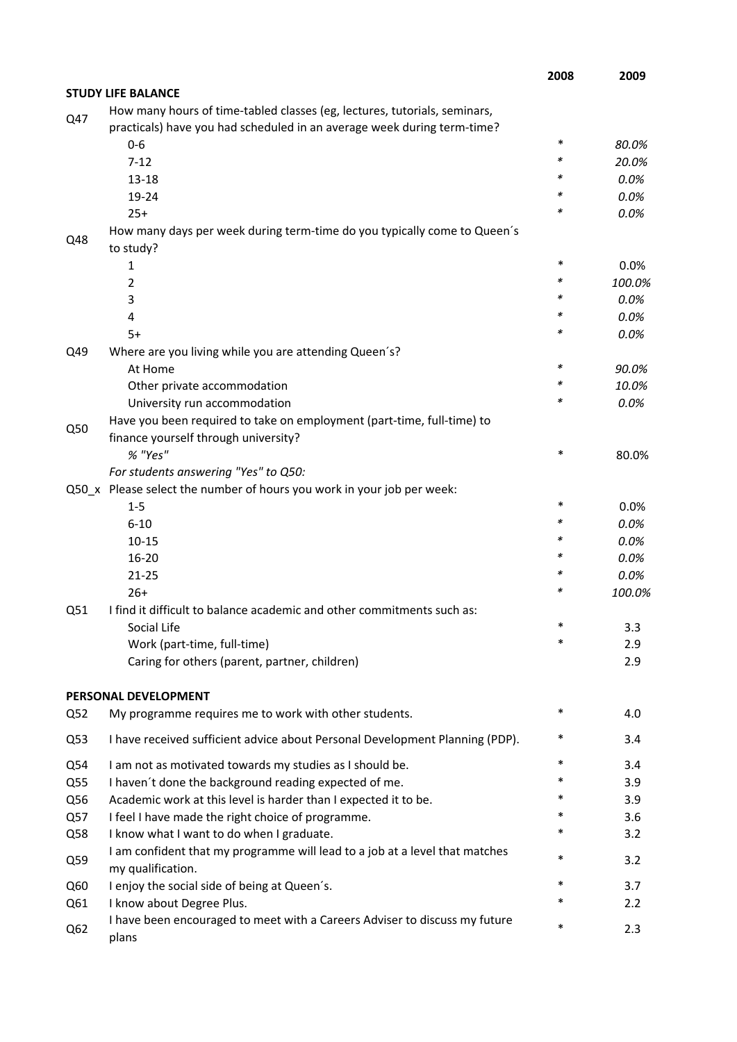|                 |                                                                                                  | 2008   | 2009   |
|-----------------|--------------------------------------------------------------------------------------------------|--------|--------|
|                 | <b>STUDY LIFE BALANCE</b>                                                                        |        |        |
| Q47             | How many hours of time-tabled classes (eg, lectures, tutorials, seminars,                        |        |        |
|                 | practicals) have you had scheduled in an average week during term-time?                          |        |        |
|                 | $0-6$                                                                                            | *      | 80.0%  |
|                 | $7 - 12$                                                                                         | *      | 20.0%  |
|                 | $13 - 18$                                                                                        | *      | 0.0%   |
|                 | 19-24                                                                                            | *      | 0.0%   |
|                 | $25+$                                                                                            | *      | 0.0%   |
| Q48             | How many days per week during term-time do you typically come to Queen's<br>to study?            |        |        |
|                 | 1                                                                                                | *      | 0.0%   |
|                 | 2                                                                                                | *      | 100.0% |
|                 | 3                                                                                                | *      | 0.0%   |
|                 | 4                                                                                                | *      | 0.0%   |
|                 | $5+$                                                                                             | *      | 0.0%   |
| Q49             | Where are you living while you are attending Queen's?                                            |        |        |
|                 | At Home                                                                                          | *      | 90.0%  |
|                 | Other private accommodation                                                                      | *      | 10.0%  |
|                 | University run accommodation                                                                     | *      | 0.0%   |
|                 | Have you been required to take on employment (part-time, full-time) to                           |        |        |
| Q50             | finance yourself through university?                                                             |        |        |
|                 | % "Yes"                                                                                          | *      | 80.0%  |
|                 | For students answering "Yes" to Q50:                                                             |        |        |
|                 | Q50_x Please select the number of hours you work in your job per week:                           |        |        |
|                 | $1 - 5$                                                                                          | *      | 0.0%   |
|                 | $6 - 10$                                                                                         | *      | 0.0%   |
|                 |                                                                                                  | *      | 0.0%   |
|                 | $10 - 15$                                                                                        | *      |        |
|                 | $16 - 20$                                                                                        | *      | 0.0%   |
|                 | $21 - 25$                                                                                        | *      | 0.0%   |
|                 | $26+$                                                                                            |        | 100.0% |
| Q51             | I find it difficult to balance academic and other commitments such as:                           |        |        |
|                 | Social Life                                                                                      | *      | 3.3    |
|                 | Work (part-time, full-time)                                                                      |        | 2.9    |
|                 | Caring for others (parent, partner, children)                                                    |        | 2.9    |
|                 | PERSONAL DEVELOPMENT                                                                             | *      |        |
| Q <sub>52</sub> | My programme requires me to work with other students.                                            |        | 4.0    |
| Q53             | I have received sufficient advice about Personal Development Planning (PDP).                     | $\ast$ | 3.4    |
| Q54             | I am not as motivated towards my studies as I should be.                                         | *      | 3.4    |
| Q55             | I haven't done the background reading expected of me.                                            | *      | 3.9    |
| Q56             | Academic work at this level is harder than I expected it to be.                                  | *      | 3.9    |
| Q57             | I feel I have made the right choice of programme.                                                | *      | 3.6    |
| Q58             | I know what I want to do when I graduate.                                                        | *      | 3.2    |
| Q59             | I am confident that my programme will lead to a job at a level that matches<br>my qualification. | *      | 3.2    |
| Q60             | I enjoy the social side of being at Queen's.                                                     | *      | 3.7    |
| Q61             | I know about Degree Plus.                                                                        | *      | 2.2    |
|                 | I have been encouraged to meet with a Careers Adviser to discuss my future                       |        |        |
| Q <sub>62</sub> | plans                                                                                            | *      | 2.3    |